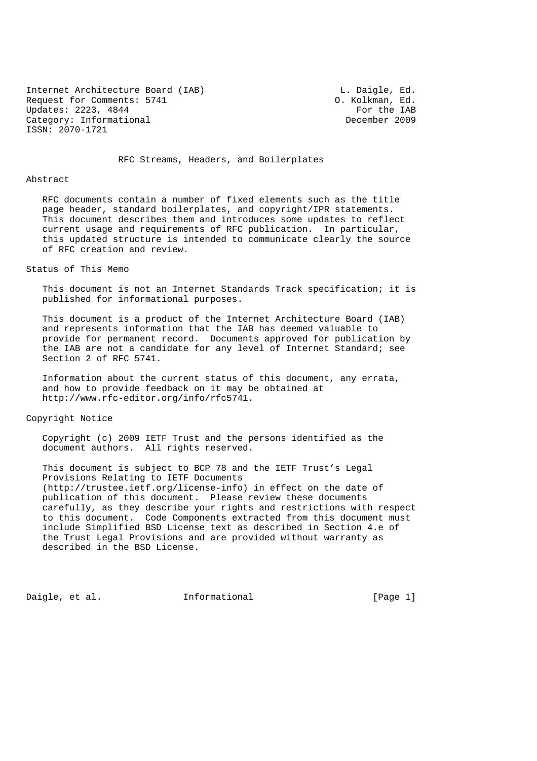Internet Architecture Board (IAB) [19] L. Daigle, Ed. Request for Comments: 5741 0. Kolkman, Ed.<br>
Updates: 2223, 4844 For the IAB Updates: 2223, 4844 Category: Informational December 2009 ISSN: 2070-1721

RFC Streams, Headers, and Boilerplates

#### Abstract

 RFC documents contain a number of fixed elements such as the title page header, standard boilerplates, and copyright/IPR statements. This document describes them and introduces some updates to reflect current usage and requirements of RFC publication. In particular, this updated structure is intended to communicate clearly the source of RFC creation and review.

#### Status of This Memo

 This document is not an Internet Standards Track specification; it is published for informational purposes.

 This document is a product of the Internet Architecture Board (IAB) and represents information that the IAB has deemed valuable to provide for permanent record. Documents approved for publication by the IAB are not a candidate for any level of Internet Standard; see Section 2 of RFC 5741.

 Information about the current status of this document, any errata, and how to provide feedback on it may be obtained at http://www.rfc-editor.org/info/rfc5741.

### Copyright Notice

 Copyright (c) 2009 IETF Trust and the persons identified as the document authors. All rights reserved.

 This document is subject to BCP 78 and the IETF Trust's Legal Provisions Relating to IETF Documents (http://trustee.ietf.org/license-info) in effect on the date of publication of this document. Please review these documents carefully, as they describe your rights and restrictions with respect to this document. Code Components extracted from this document must include Simplified BSD License text as described in Section 4.e of the Trust Legal Provisions and are provided without warranty as described in the BSD License.

Daigle, et al. 1nformational 1999 [Page 1]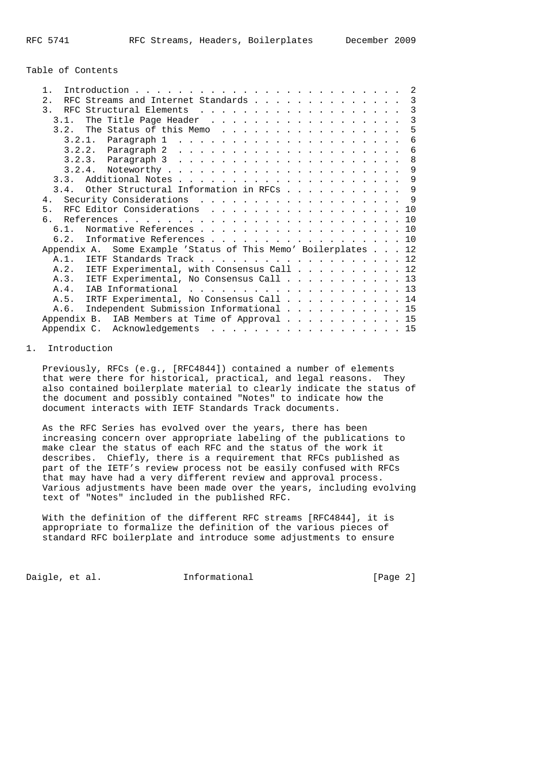Table of Contents

| $1$ .                                                             |  | 2              |
|-------------------------------------------------------------------|--|----------------|
| RFC Streams and Internet Standards<br>2.1                         |  | $\overline{3}$ |
| $\mathcal{R}$                                                     |  | 3              |
| The Title Page Header<br>3.1.                                     |  | 3              |
| 3.2. The Status of this Memo                                      |  | 5              |
|                                                                   |  | 6              |
|                                                                   |  | 6              |
|                                                                   |  | 8              |
|                                                                   |  | 9              |
| 3.3.                                                              |  | 9              |
| 3.4. Other Structural Information in RFCs                         |  | $\mathsf{Q}$   |
| Security Considerations 9<br>4.                                   |  |                |
| 5.                                                                |  | 1 O            |
|                                                                   |  | 10             |
| 6 1                                                               |  | 10             |
| Informative References 10<br>6.2.                                 |  |                |
| Some Example 'Status of This Memo' Boilerplates 12<br>Appendix A. |  |                |
| $A.1$ .<br>IETF Standards Track 12                                |  |                |
| A.2. IETF Experimental, with Consensus Call 12                    |  |                |
| A.3. IETF Experimental, No Consensus Call 13                      |  |                |
| IAB Informational 13<br>A.4.                                      |  |                |
| A.5. IRTF Experimental, No Consensus Call 14                      |  |                |
| Independent Submission Informational 15<br>A.6.                   |  |                |
| Appendix B. IAB Members at Time of Approval 15                    |  |                |
| Appendix C. Acknowledgements 15                                   |  |                |

# 1. Introduction

 Previously, RFCs (e.g., [RFC4844]) contained a number of elements that were there for historical, practical, and legal reasons. They also contained boilerplate material to clearly indicate the status of the document and possibly contained "Notes" to indicate how the document interacts with IETF Standards Track documents.

 As the RFC Series has evolved over the years, there has been increasing concern over appropriate labeling of the publications to make clear the status of each RFC and the status of the work it describes. Chiefly, there is a requirement that RFCs published as part of the IETF's review process not be easily confused with RFCs that may have had a very different review and approval process. Various adjustments have been made over the years, including evolving text of "Notes" included in the published RFC.

 With the definition of the different RFC streams [RFC4844], it is appropriate to formalize the definition of the various pieces of standard RFC boilerplate and introduce some adjustments to ensure

Daigle, et al. 1nformational 1999 [Page 2]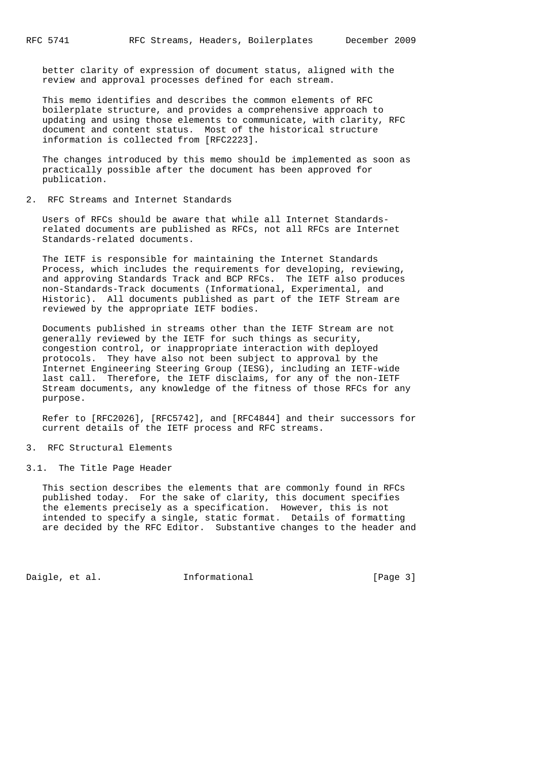better clarity of expression of document status, aligned with the review and approval processes defined for each stream.

 This memo identifies and describes the common elements of RFC boilerplate structure, and provides a comprehensive approach to updating and using those elements to communicate, with clarity, RFC document and content status. Most of the historical structure information is collected from [RFC2223].

 The changes introduced by this memo should be implemented as soon as practically possible after the document has been approved for publication.

2. RFC Streams and Internet Standards

 Users of RFCs should be aware that while all Internet Standards related documents are published as RFCs, not all RFCs are Internet Standards-related documents.

 The IETF is responsible for maintaining the Internet Standards Process, which includes the requirements for developing, reviewing, and approving Standards Track and BCP RFCs. The IETF also produces non-Standards-Track documents (Informational, Experimental, and Historic). All documents published as part of the IETF Stream are reviewed by the appropriate IETF bodies.

 Documents published in streams other than the IETF Stream are not generally reviewed by the IETF for such things as security, congestion control, or inappropriate interaction with deployed protocols. They have also not been subject to approval by the Internet Engineering Steering Group (IESG), including an IETF-wide last call. Therefore, the IETF disclaims, for any of the non-IETF Stream documents, any knowledge of the fitness of those RFCs for any purpose.

 Refer to [RFC2026], [RFC5742], and [RFC4844] and their successors for current details of the IETF process and RFC streams.

- 3. RFC Structural Elements
- 3.1. The Title Page Header

 This section describes the elements that are commonly found in RFCs published today. For the sake of clarity, this document specifies the elements precisely as a specification. However, this is not intended to specify a single, static format. Details of formatting are decided by the RFC Editor. Substantive changes to the header and

Daigle, et al. 1nformational 1999 [Page 3]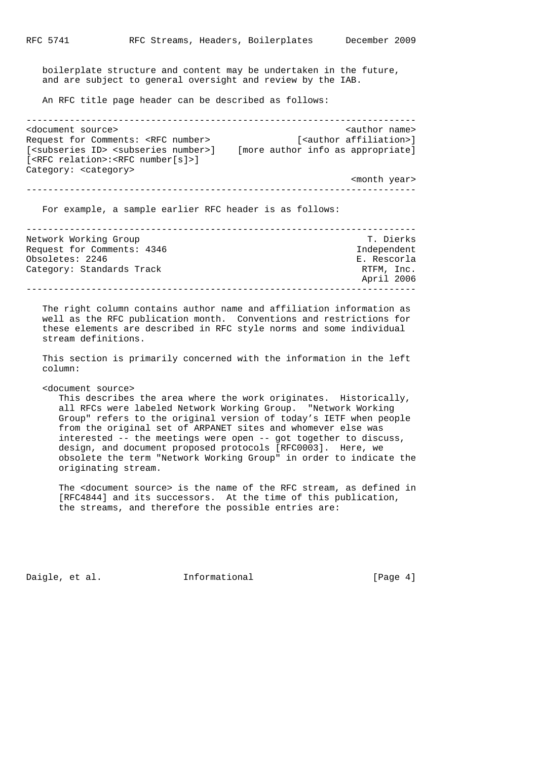boilerplate structure and content may be undertaken in the future, and are subject to general oversight and review by the IAB.

An RFC title page header can be described as follows:

------------------------------------------------------------------------ <document source><br>Request for Comments: <RFC number>  $[$ <author affiliation>] Request for Comments: <RFC number> [<author affiliation>] [<subseries ID> <subseries number>] [more author info as appropriate] [<RFC relation>:<RFC number[s]>] Category: <category> <month year>

------------------------------------------------------------------------

For example, a sample earlier RFC header is as follows:

| Network Working Group      | T. Dierks   |
|----------------------------|-------------|
| Request for Comments: 4346 | Independent |
| Obsoletes: 2246            | E. Rescorla |
| Category: Standards Track  | RTFM, Inc.  |
|                            | April 2006  |
|                            |             |

 The right column contains author name and affiliation information as well as the RFC publication month. Conventions and restrictions for these elements are described in RFC style norms and some individual stream definitions.

 This section is primarily concerned with the information in the left column:

<document source>

 This describes the area where the work originates. Historically, all RFCs were labeled Network Working Group. "Network Working Group" refers to the original version of today's IETF when people from the original set of ARPANET sites and whomever else was interested -- the meetings were open -- got together to discuss, design, and document proposed protocols [RFC0003]. Here, we obsolete the term "Network Working Group" in order to indicate the originating stream.

 The <document source> is the name of the RFC stream, as defined in [RFC4844] and its successors. At the time of this publication, the streams, and therefore the possible entries are:

Daigle, et al. 1nformational 1999 [Page 4]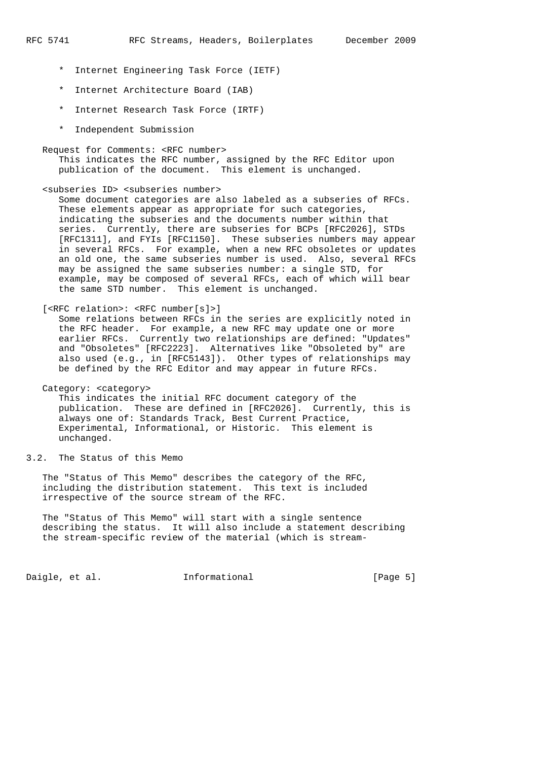- \* Internet Engineering Task Force (IETF)
- \* Internet Architecture Board (IAB)
- \* Internet Research Task Force (IRTF)
- \* Independent Submission

 Request for Comments: <RFC number> This indicates the RFC number, assigned by the RFC Editor upon publication of the document. This element is unchanged.

<subseries ID> <subseries number>

 Some document categories are also labeled as a subseries of RFCs. These elements appear as appropriate for such categories, indicating the subseries and the documents number within that series. Currently, there are subseries for BCPs [RFC2026], STDs [RFC1311], and FYIs [RFC1150]. These subseries numbers may appear in several RFCs. For example, when a new RFC obsoletes or updates an old one, the same subseries number is used. Also, several RFCs may be assigned the same subseries number: a single STD, for example, may be composed of several RFCs, each of which will bear the same STD number. This element is unchanged.

[<RFC relation>: <RFC number[s]>]

 Some relations between RFCs in the series are explicitly noted in the RFC header. For example, a new RFC may update one or more earlier RFCs. Currently two relationships are defined: "Updates" and "Obsoletes" [RFC2223]. Alternatives like "Obsoleted by" are also used (e.g., in [RFC5143]). Other types of relationships may be defined by the RFC Editor and may appear in future RFCs.

Category: <category>

 This indicates the initial RFC document category of the publication. These are defined in [RFC2026]. Currently, this is always one of: Standards Track, Best Current Practice, Experimental, Informational, or Historic. This element is unchanged.

3.2. The Status of this Memo

 The "Status of This Memo" describes the category of the RFC, including the distribution statement. This text is included irrespective of the source stream of the RFC.

 The "Status of This Memo" will start with a single sentence describing the status. It will also include a statement describing the stream-specific review of the material (which is stream-

Daigle, et al. 1nformational 1999 [Page 5]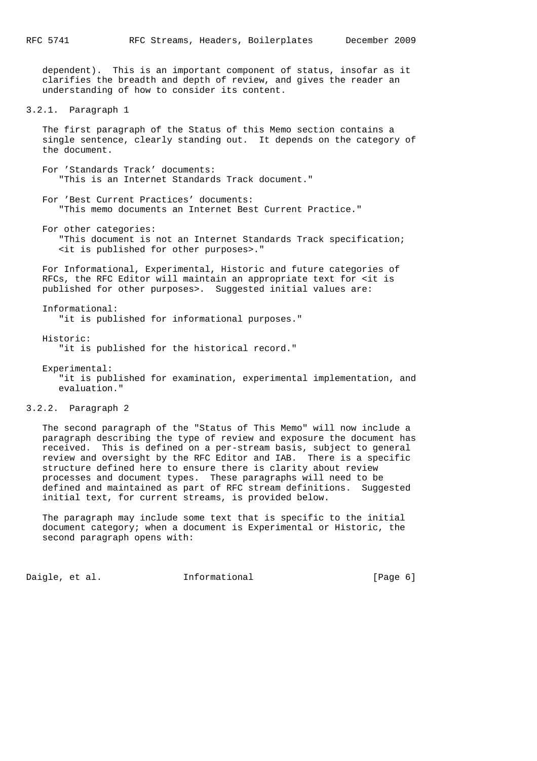dependent). This is an important component of status, insofar as it clarifies the breadth and depth of review, and gives the reader an understanding of how to consider its content.

```
3.2.1. Paragraph 1
```
 The first paragraph of the Status of this Memo section contains a single sentence, clearly standing out. It depends on the category of the document.

 For 'Standards Track' documents: "This is an Internet Standards Track document."

 For 'Best Current Practices' documents: "This memo documents an Internet Best Current Practice."

 For other categories: "This document is not an Internet Standards Track specification; <it is published for other purposes>."

 For Informational, Experimental, Historic and future categories of RFCs, the RFC Editor will maintain an appropriate text for <it is published for other purposes>. Suggested initial values are:

 Informational: "it is published for informational purposes."

- Historic: "it is published for the historical record."
- Experimental: "it is published for examination, experimental implementation, and evaluation."
- 3.2.2. Paragraph 2

 The second paragraph of the "Status of This Memo" will now include a paragraph describing the type of review and exposure the document has received. This is defined on a per-stream basis, subject to general review and oversight by the RFC Editor and IAB. There is a specific structure defined here to ensure there is clarity about review processes and document types. These paragraphs will need to be defined and maintained as part of RFC stream definitions. Suggested initial text, for current streams, is provided below.

 The paragraph may include some text that is specific to the initial document category; when a document is Experimental or Historic, the second paragraph opens with:

Daigle, et al. 1nformational 1999 [Page 6]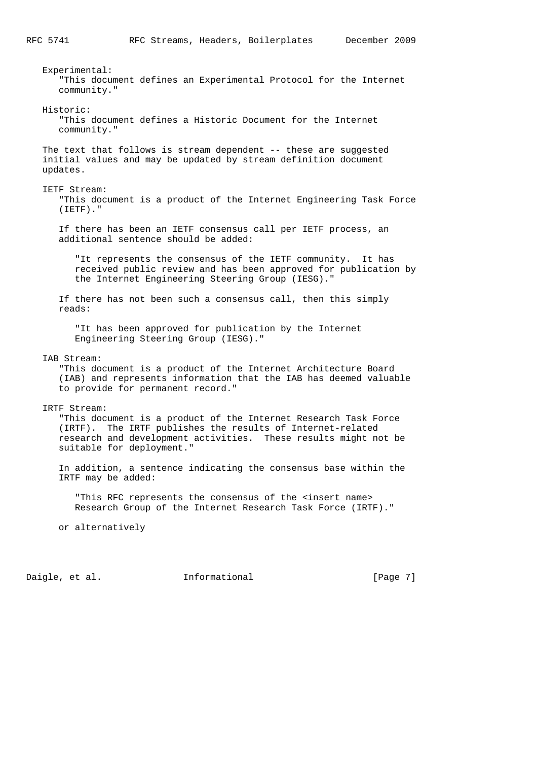Experimental: "This document defines an Experimental Protocol for the Internet community." Historic: "This document defines a Historic Document for the Internet community." The text that follows is stream dependent -- these are suggested initial values and may be updated by stream definition document updates. IETF Stream: "This document is a product of the Internet Engineering Task Force (IETF)." If there has been an IETF consensus call per IETF process, an additional sentence should be added: "It represents the consensus of the IETF community. It has received public review and has been approved for publication by the Internet Engineering Steering Group (IESG)." If there has not been such a consensus call, then this simply reads: "It has been approved for publication by the Internet Engineering Steering Group (IESG)." IAB Stream: "This document is a product of the Internet Architecture Board (IAB) and represents information that the IAB has deemed valuable to provide for permanent record." IRTF Stream: "This document is a product of the Internet Research Task Force (IRTF). The IRTF publishes the results of Internet-related research and development activities. These results might not be suitable for deployment." In addition, a sentence indicating the consensus base within the IRTF may be added: "This RFC represents the consensus of the <insert\_name> Research Group of the Internet Research Task Force (IRTF)." or alternatively

Daigle, et al. **Informational** [Page 7]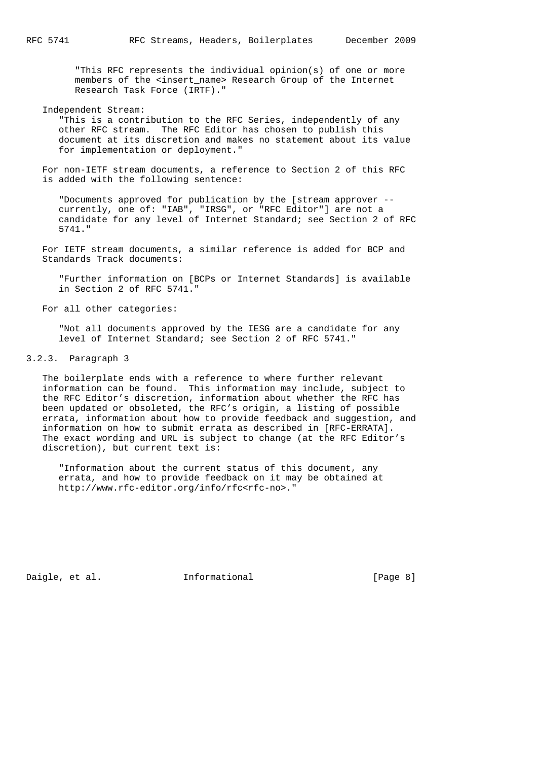"This RFC represents the individual opinion(s) of one or more members of the <insert\_name> Research Group of the Internet Research Task Force (IRTF)."

 Independent Stream: "This is a contribution to the RFC Series, independently of any other RFC stream. The RFC Editor has chosen to publish this document at its discretion and makes no statement about its value for implementation or deployment."

 For non-IETF stream documents, a reference to Section 2 of this RFC is added with the following sentence:

 "Documents approved for publication by the [stream approver - currently, one of: "IAB", "IRSG", or "RFC Editor"] are not a candidate for any level of Internet Standard; see Section 2 of RFC 5741."

 For IETF stream documents, a similar reference is added for BCP and Standards Track documents:

 "Further information on [BCPs or Internet Standards] is available in Section 2 of RFC 5741."

For all other categories:

 "Not all documents approved by the IESG are a candidate for any level of Internet Standard; see Section 2 of RFC 5741."

3.2.3. Paragraph 3

 The boilerplate ends with a reference to where further relevant information can be found. This information may include, subject to the RFC Editor's discretion, information about whether the RFC has been updated or obsoleted, the RFC's origin, a listing of possible errata, information about how to provide feedback and suggestion, and information on how to submit errata as described in [RFC-ERRATA]. The exact wording and URL is subject to change (at the RFC Editor's discretion), but current text is:

 "Information about the current status of this document, any errata, and how to provide feedback on it may be obtained at http://www.rfc-editor.org/info/rfc<rfc-no>."

Daigle, et al. 1nformational 1999 [Page 8]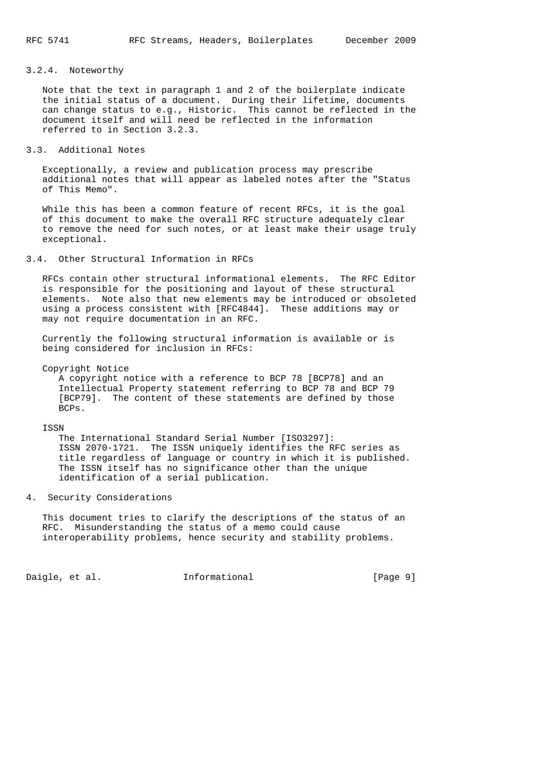### 3.2.4. Noteworthy

 Note that the text in paragraph 1 and 2 of the boilerplate indicate the initial status of a document. During their lifetime, documents can change status to e.g., Historic. This cannot be reflected in the document itself and will need be reflected in the information referred to in Section 3.2.3.

#### 3.3. Additional Notes

 Exceptionally, a review and publication process may prescribe additional notes that will appear as labeled notes after the "Status of This Memo".

 While this has been a common feature of recent RFCs, it is the goal of this document to make the overall RFC structure adequately clear to remove the need for such notes, or at least make their usage truly exceptional.

#### 3.4. Other Structural Information in RFCs

 RFCs contain other structural informational elements. The RFC Editor is responsible for the positioning and layout of these structural elements. Note also that new elements may be introduced or obsoleted using a process consistent with [RFC4844]. These additions may or may not require documentation in an RFC.

 Currently the following structural information is available or is being considered for inclusion in RFCs:

Copyright Notice

 A copyright notice with a reference to BCP 78 [BCP78] and an Intellectual Property statement referring to BCP 78 and BCP 79 [BCP79]. The content of these statements are defined by those BCPs.

#### ISSN

 The International Standard Serial Number [ISO3297]: ISSN 2070-1721. The ISSN uniquely identifies the RFC series as title regardless of language or country in which it is published. The ISSN itself has no significance other than the unique identification of a serial publication.

### 4. Security Considerations

 This document tries to clarify the descriptions of the status of an RFC. Misunderstanding the status of a memo could cause interoperability problems, hence security and stability problems.

Daigle, et al. 1nformational 1999 [Page 9]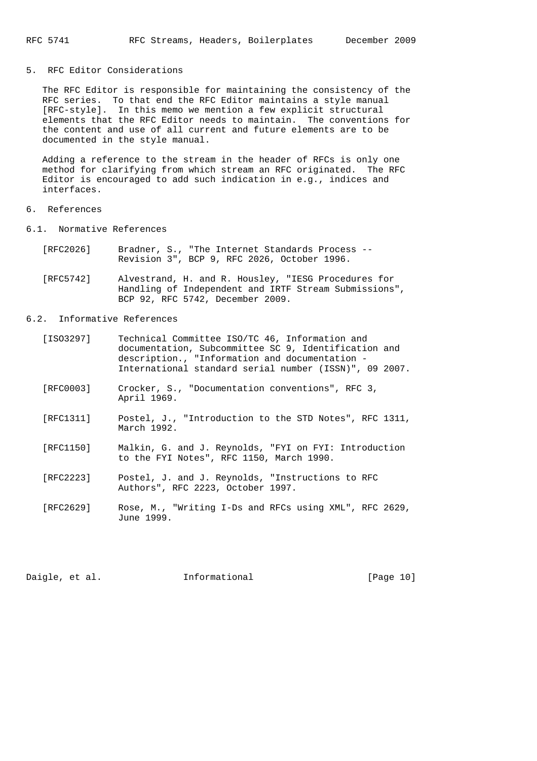#### 5. RFC Editor Considerations

 The RFC Editor is responsible for maintaining the consistency of the RFC series. To that end the RFC Editor maintains a style manual [RFC-style]. In this memo we mention a few explicit structural elements that the RFC Editor needs to maintain. The conventions for the content and use of all current and future elements are to be documented in the style manual.

 Adding a reference to the stream in the header of RFCs is only one method for clarifying from which stream an RFC originated. The RFC Editor is encouraged to add such indication in e.g., indices and interfaces.

### 6. References

- 6.1. Normative References
	- [RFC2026] Bradner, S., "The Internet Standards Process -- Revision 3", BCP 9, RFC 2026, October 1996.
	- [RFC5742] Alvestrand, H. and R. Housley, "IESG Procedures for Handling of Independent and IRTF Stream Submissions", BCP 92, RFC 5742, December 2009.

### 6.2. Informative References

| [ISO3297] | Technical Committee ISO/TC 46, Information and         |  |
|-----------|--------------------------------------------------------|--|
|           | documentation, Subcommittee SC 9, Identification and   |  |
|           | description., "Information and documentation -         |  |
|           | International standard serial number (ISSN)", 09 2007. |  |
|           |                                                        |  |

- [RFC0003] Crocker, S., "Documentation conventions", RFC 3, April 1969.
- [RFC1311] Postel, J., "Introduction to the STD Notes", RFC 1311, March 1992.
- [RFC1150] Malkin, G. and J. Reynolds, "FYI on FYI: Introduction to the FYI Notes", RFC 1150, March 1990.
- [RFC2223] Postel, J. and J. Reynolds, "Instructions to RFC Authors", RFC 2223, October 1997.
- [RFC2629] Rose, M., "Writing I-Ds and RFCs using XML", RFC 2629, June 1999.

Daigle, et al. 1nformational [Page 10]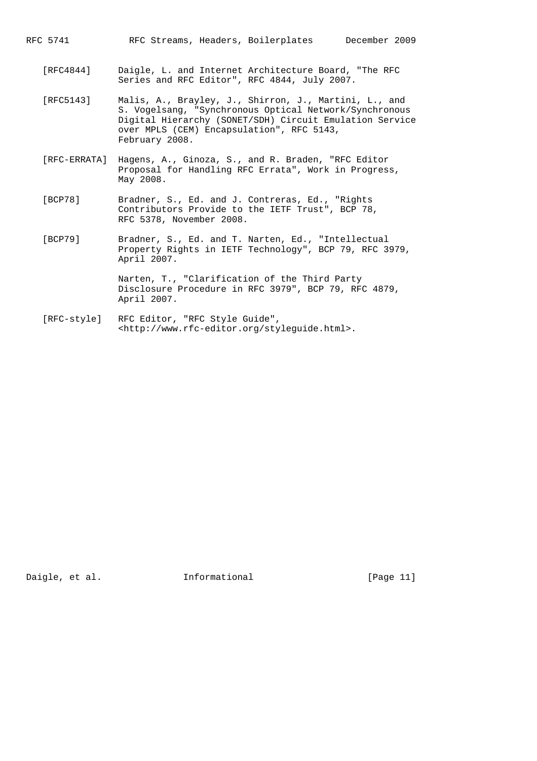RFC 5741 RFC Streams, Headers, Boilerplates December 2009

- [RFC4844] Daigle, L. and Internet Architecture Board, "The RFC Series and RFC Editor", RFC 4844, July 2007.
- [RFC5143] Malis, A., Brayley, J., Shirron, J., Martini, L., and S. Vogelsang, "Synchronous Optical Network/Synchronous Digital Hierarchy (SONET/SDH) Circuit Emulation Service over MPLS (CEM) Encapsulation", RFC 5143, February 2008.
- [RFC-ERRATA] Hagens, A., Ginoza, S., and R. Braden, "RFC Editor Proposal for Handling RFC Errata", Work in Progress, May 2008.
- [BCP78] Bradner, S., Ed. and J. Contreras, Ed., "Rights Contributors Provide to the IETF Trust", BCP 78, RFC 5378, November 2008.
- [BCP79] Bradner, S., Ed. and T. Narten, Ed., "Intellectual Property Rights in IETF Technology", BCP 79, RFC 3979, April 2007.

 Narten, T., "Clarification of the Third Party Disclosure Procedure in RFC 3979", BCP 79, RFC 4879, April 2007.

 [RFC-style] RFC Editor, "RFC Style Guide", <http://www.rfc-editor.org/styleguide.html>.

Daigle, et al. **Informational** [Page 11]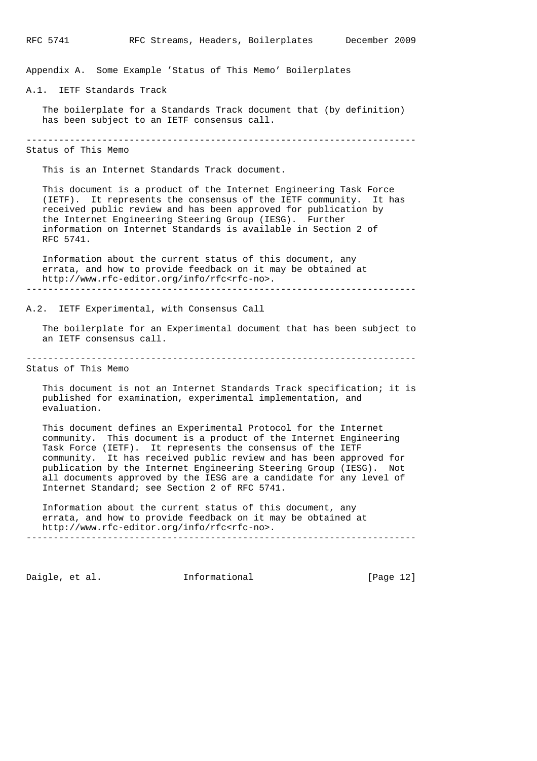Appendix A. Some Example 'Status of This Memo' Boilerplates

A.1. IETF Standards Track

 The boilerplate for a Standards Track document that (by definition) has been subject to an IETF consensus call.

------------------------------------------------------------------------

# Status of This Memo

This is an Internet Standards Track document.

 This document is a product of the Internet Engineering Task Force (IETF). It represents the consensus of the IETF community. It has received public review and has been approved for publication by the Internet Engineering Steering Group (IESG). Further information on Internet Standards is available in Section 2 of RFC 5741.

 Information about the current status of this document, any errata, and how to provide feedback on it may be obtained at http://www.rfc-editor.org/info/rfc<rfc-no>. ------------------------------------------------------------------------

A.2. IETF Experimental, with Consensus Call

 The boilerplate for an Experimental document that has been subject to an IETF consensus call.

------------------------------------------------------------------------

## Status of This Memo

 This document is not an Internet Standards Track specification; it is published for examination, experimental implementation, and evaluation.

 This document defines an Experimental Protocol for the Internet community. This document is a product of the Internet Engineering Task Force (IETF). It represents the consensus of the IETF community. It has received public review and has been approved for publication by the Internet Engineering Steering Group (IESG). Not all documents approved by the IESG are a candidate for any level of Internet Standard; see Section 2 of RFC 5741.

 Information about the current status of this document, any errata, and how to provide feedback on it may be obtained at http://www.rfc-editor.org/info/rfc<rfc-no>. ------------------------------------------------------------------------

Daigle, et al. 1nformational 1999 [Page 12]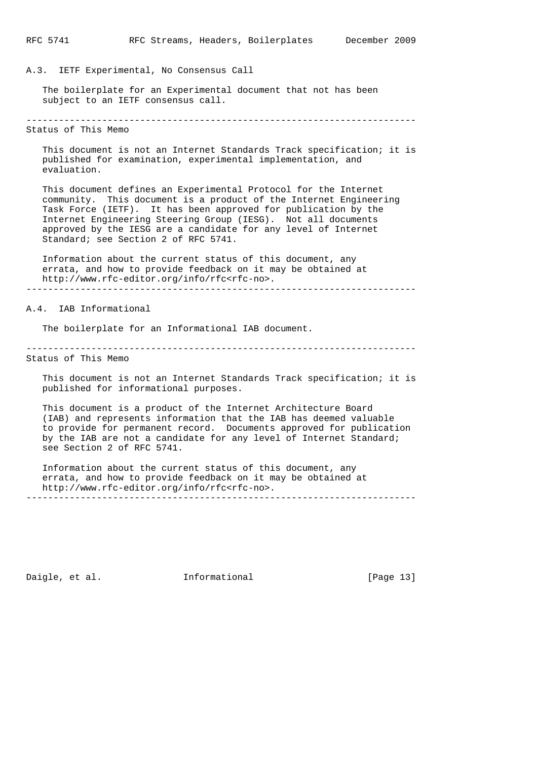### A.3. IETF Experimental, No Consensus Call

 The boilerplate for an Experimental document that not has been subject to an IETF consensus call.

------------------------------------------------------------------------

Status of This Memo

 This document is not an Internet Standards Track specification; it is published for examination, experimental implementation, and evaluation.

 This document defines an Experimental Protocol for the Internet community. This document is a product of the Internet Engineering Task Force (IETF). It has been approved for publication by the Internet Engineering Steering Group (IESG). Not all documents approved by the IESG are a candidate for any level of Internet Standard; see Section 2 of RFC 5741.

 Information about the current status of this document, any errata, and how to provide feedback on it may be obtained at http://www.rfc-editor.org/info/rfc<rfc-no>. ------------------------------------------------------------------------

#### A.4. IAB Informational

The boilerplate for an Informational IAB document.

------------------------------------------------------------------------ Status of This Memo

 This document is not an Internet Standards Track specification; it is published for informational purposes.

 This document is a product of the Internet Architecture Board (IAB) and represents information that the IAB has deemed valuable to provide for permanent record. Documents approved for publication by the IAB are not a candidate for any level of Internet Standard; see Section 2 of RFC 5741.

 Information about the current status of this document, any errata, and how to provide feedback on it may be obtained at http://www.rfc-editor.org/info/rfc<rfc-no>. ------------------------------------------------------------------------

Daigle, et al. 1nformational 1999 [Page 13]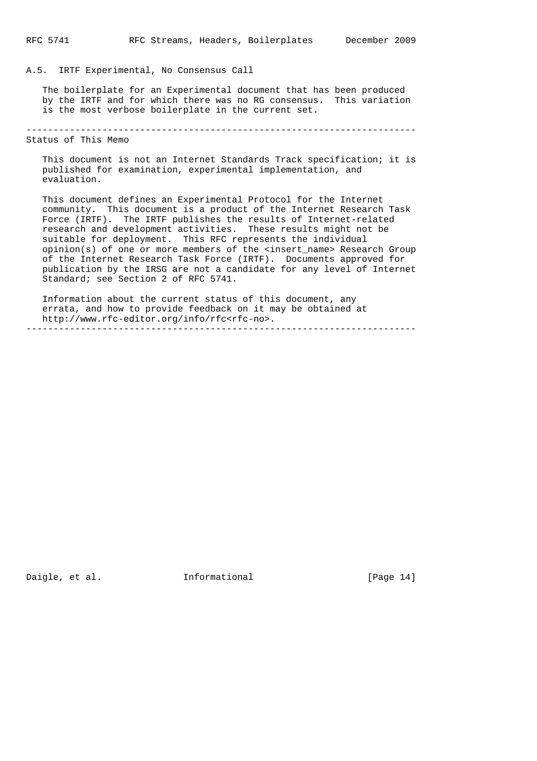#### A.5. IRTF Experimental, No Consensus Call

 The boilerplate for an Experimental document that has been produced by the IRTF and for which there was no RG consensus. This variation is the most verbose boilerplate in the current set.

------------------------------------------------------------------------

Status of This Memo

 This document is not an Internet Standards Track specification; it is published for examination, experimental implementation, and evaluation.

 This document defines an Experimental Protocol for the Internet community. This document is a product of the Internet Research Task Force (IRTF). The IRTF publishes the results of Internet-related research and development activities. These results might not be suitable for deployment. This RFC represents the individual opinion(s) of one or more members of the <insert\_name> Research Group of the Internet Research Task Force (IRTF). Documents approved for publication by the IRSG are not a candidate for any level of Internet Standard; see Section 2 of RFC 5741.

 Information about the current status of this document, any errata, and how to provide feedback on it may be obtained at http://www.rfc-editor.org/info/rfc<rfc-no>. ------------------------------------------------------------------------

Daigle, et al. 1nformational [Page 14]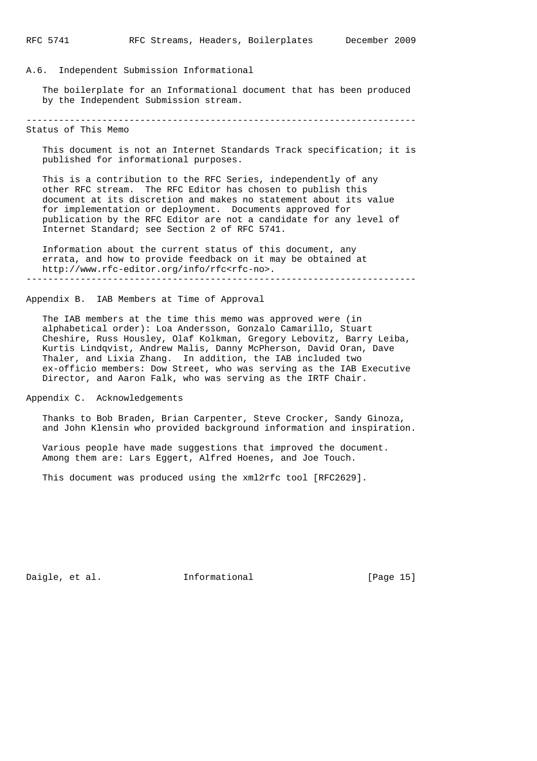#### A.6. Independent Submission Informational

 The boilerplate for an Informational document that has been produced by the Independent Submission stream.

------------------------------------------------------------------------

Status of This Memo

 This document is not an Internet Standards Track specification; it is published for informational purposes.

 This is a contribution to the RFC Series, independently of any other RFC stream. The RFC Editor has chosen to publish this document at its discretion and makes no statement about its value for implementation or deployment. Documents approved for publication by the RFC Editor are not a candidate for any level of Internet Standard; see Section 2 of RFC 5741.

 Information about the current status of this document, any errata, and how to provide feedback on it may be obtained at http://www.rfc-editor.org/info/rfc<rfc-no>. ------------------------------------------------------------------------

### Appendix B. IAB Members at Time of Approval

 The IAB members at the time this memo was approved were (in alphabetical order): Loa Andersson, Gonzalo Camarillo, Stuart Cheshire, Russ Housley, Olaf Kolkman, Gregory Lebovitz, Barry Leiba, Kurtis Lindqvist, Andrew Malis, Danny McPherson, David Oran, Dave Thaler, and Lixia Zhang. In addition, the IAB included two ex-officio members: Dow Street, who was serving as the IAB Executive Director, and Aaron Falk, who was serving as the IRTF Chair.

Appendix C. Acknowledgements

 Thanks to Bob Braden, Brian Carpenter, Steve Crocker, Sandy Ginoza, and John Klensin who provided background information and inspiration.

 Various people have made suggestions that improved the document. Among them are: Lars Eggert, Alfred Hoenes, and Joe Touch.

This document was produced using the xml2rfc tool [RFC2629].

Daigle, et al. 1nformational [Page 15]